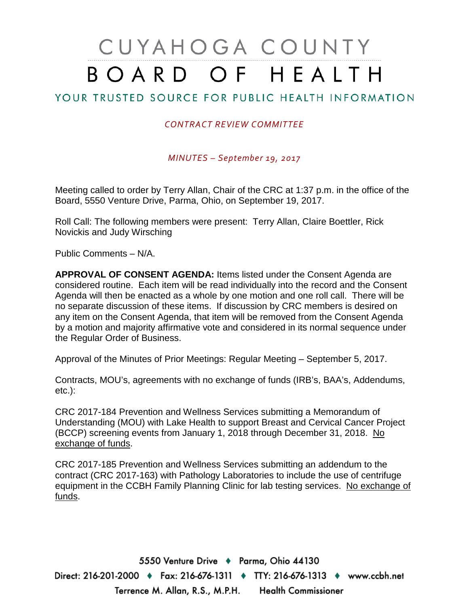# CUYAHOGA COUNTY BOARD OF HEALTH

## YOUR TRUSTED SOURCE FOR PUBLIC HEALTH INFORMATION

#### *CONTRACT REVIEW COMMITTEE*

*MINUTES – September 19, 2017*

Meeting called to order by Terry Allan, Chair of the CRC at 1:37 p.m. in the office of the Board, 5550 Venture Drive, Parma, Ohio, on September 19, 2017.

Roll Call: The following members were present: Terry Allan, Claire Boettler, Rick Novickis and Judy Wirsching

Public Comments – N/A.

**APPROVAL OF CONSENT AGENDA:** Items listed under the Consent Agenda are considered routine. Each item will be read individually into the record and the Consent Agenda will then be enacted as a whole by one motion and one roll call. There will be no separate discussion of these items. If discussion by CRC members is desired on any item on the Consent Agenda, that item will be removed from the Consent Agenda by a motion and majority affirmative vote and considered in its normal sequence under the Regular Order of Business.

Approval of the Minutes of Prior Meetings: Regular Meeting – September 5, 2017.

Contracts, MOU's, agreements with no exchange of funds (IRB's, BAA's, Addendums, etc.):

CRC 2017-184 Prevention and Wellness Services submitting a Memorandum of Understanding (MOU) with Lake Health to support Breast and Cervical Cancer Project (BCCP) screening events from January 1, 2018 through December 31, 2018. No exchange of funds.

CRC 2017-185 Prevention and Wellness Services submitting an addendum to the contract (CRC 2017-163) with Pathology Laboratories to include the use of centrifuge equipment in the CCBH Family Planning Clinic for lab testing services. No exchange of funds.

5550 Venture Drive + Parma, Ohio 44130 Direct: 216-201-2000 ♦ Fax: 216-676-1311 ♦ TTY: 216-676-1313 ♦ www.ccbh.net Terrence M. Allan, R.S., M.P.H. Health Commissioner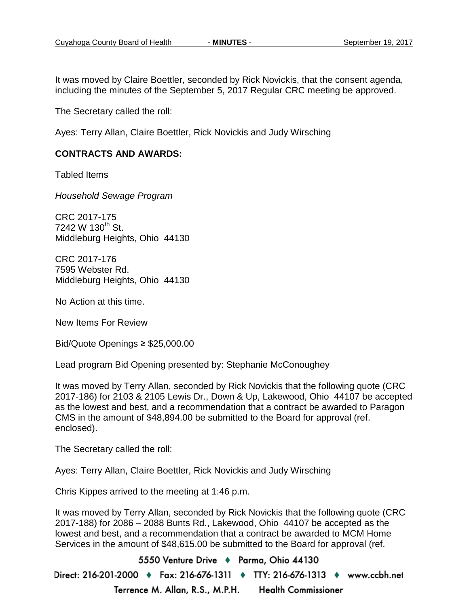It was moved by Claire Boettler, seconded by Rick Novickis, that the consent agenda, including the minutes of the September 5, 2017 Regular CRC meeting be approved.

The Secretary called the roll:

Ayes: Terry Allan, Claire Boettler, Rick Novickis and Judy Wirsching

#### **CONTRACTS AND AWARDS:**

Tabled Items

*Household Sewage Program*

CRC 2017-175 7242 W  $130^{th}$  St. Middleburg Heights, Ohio 44130

CRC 2017-176 7595 Webster Rd. Middleburg Heights, Ohio 44130

No Action at this time.

New Items For Review

Bid/Quote Openings ≥ \$25,000.00

Lead program Bid Opening presented by: Stephanie McConoughey

It was moved by Terry Allan, seconded by Rick Novickis that the following quote (CRC 2017-186) for 2103 & 2105 Lewis Dr., Down & Up, Lakewood, Ohio 44107 be accepted as the lowest and best, and a recommendation that a contract be awarded to Paragon CMS in the amount of \$48,894.00 be submitted to the Board for approval (ref. enclosed).

The Secretary called the roll:

Ayes: Terry Allan, Claire Boettler, Rick Novickis and Judy Wirsching

Chris Kippes arrived to the meeting at 1:46 p.m.

It was moved by Terry Allan, seconded by Rick Novickis that the following quote (CRC 2017-188) for 2086 – 2088 Bunts Rd., Lakewood, Ohio 44107 be accepted as the lowest and best, and a recommendation that a contract be awarded to MCM Home Services in the amount of \$48,615.00 be submitted to the Board for approval (ref.

5550 Venture Drive + Parma, Ohio 44130 Direct: 216-201-2000 ♦ Fax: 216-676-1311 ♦ TTY: 216-676-1313 ♦ www.ccbh.net Terrence M. Allan, R.S., M.P.H. **Health Commissioner**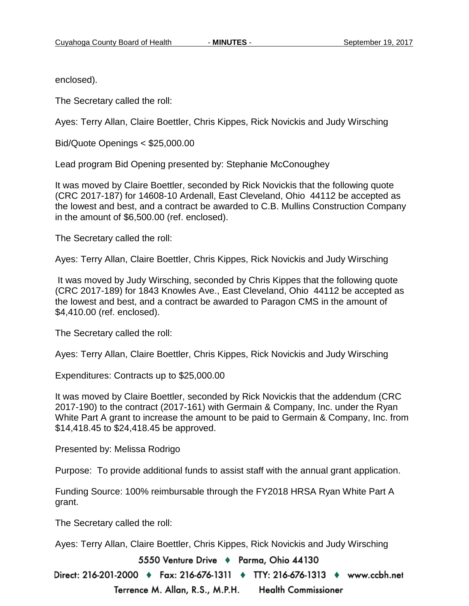enclosed).

The Secretary called the roll:

Ayes: Terry Allan, Claire Boettler, Chris Kippes, Rick Novickis and Judy Wirsching

Bid/Quote Openings < \$25,000.00

Lead program Bid Opening presented by: Stephanie McConoughey

It was moved by Claire Boettler, seconded by Rick Novickis that the following quote (CRC 2017-187) for 14608-10 Ardenall, East Cleveland, Ohio 44112 be accepted as the lowest and best, and a contract be awarded to C.B. Mullins Construction Company in the amount of \$6,500.00 (ref. enclosed).

The Secretary called the roll:

Ayes: Terry Allan, Claire Boettler, Chris Kippes, Rick Novickis and Judy Wirsching

It was moved by Judy Wirsching, seconded by Chris Kippes that the following quote (CRC 2017-189) for 1843 Knowles Ave., East Cleveland, Ohio 44112 be accepted as the lowest and best, and a contract be awarded to Paragon CMS in the amount of \$4,410.00 (ref. enclosed).

The Secretary called the roll:

Ayes: Terry Allan, Claire Boettler, Chris Kippes, Rick Novickis and Judy Wirsching

Expenditures: Contracts up to \$25,000.00

It was moved by Claire Boettler, seconded by Rick Novickis that the addendum (CRC 2017-190) to the contract (2017-161) with Germain & Company, Inc. under the Ryan White Part A grant to increase the amount to be paid to Germain & Company, Inc. from \$14,418.45 to \$24,418.45 be approved.

Presented by: Melissa Rodrigo

Purpose: To provide additional funds to assist staff with the annual grant application.

Funding Source: 100% reimbursable through the FY2018 HRSA Ryan White Part A grant.

The Secretary called the roll:

Ayes: Terry Allan, Claire Boettler, Chris Kippes, Rick Novickis and Judy Wirsching

5550 Venture Drive + Parma, Ohio 44130

Direct: 216-201-2000 ♦ Fax: 216-676-1311 ♦ TTY: 216-676-1313 ♦ www.ccbh.net Terrence M. Allan, R.S., M.P.H. **Health Commissioner**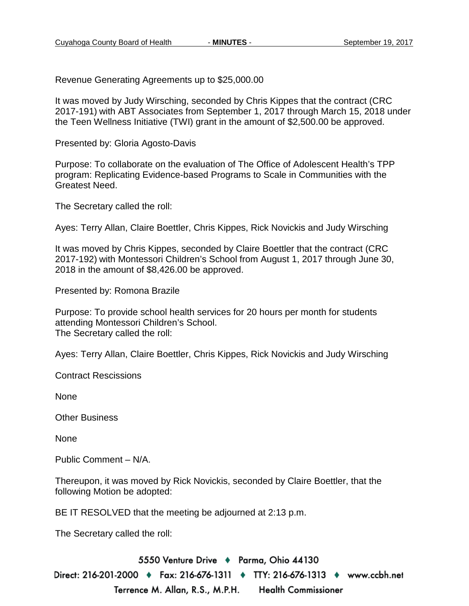Revenue Generating Agreements up to \$25,000.00

It was moved by Judy Wirsching, seconded by Chris Kippes that the contract (CRC 2017-191) with ABT Associates from September 1, 2017 through March 15, 2018 under the Teen Wellness Initiative (TWI) grant in the amount of \$2,500.00 be approved.

Presented by: Gloria Agosto-Davis

Purpose: To collaborate on the evaluation of The Office of Adolescent Health's TPP program: Replicating Evidence-based Programs to Scale in Communities with the Greatest Need.

The Secretary called the roll:

Ayes: Terry Allan, Claire Boettler, Chris Kippes, Rick Novickis and Judy Wirsching

It was moved by Chris Kippes, seconded by Claire Boettler that the contract (CRC 2017-192) with Montessori Children's School from August 1, 2017 through June 30, 2018 in the amount of \$8,426.00 be approved.

Presented by: Romona Brazile

Purpose: To provide school health services for 20 hours per month for students attending Montessori Children's School. The Secretary called the roll:

Ayes: Terry Allan, Claire Boettler, Chris Kippes, Rick Novickis and Judy Wirsching

Contract Rescissions

None

Other Business

None

Public Comment – N/A.

Thereupon, it was moved by Rick Novickis, seconded by Claire Boettler, that the following Motion be adopted:

BE IT RESOLVED that the meeting be adjourned at 2:13 p.m.

The Secretary called the roll:

5550 Venture Drive + Parma, Ohio 44130

Direct: 216-201-2000 ♦ Fax: 216-676-1311 ♦ TTY: 216-676-1313 ♦ www.ccbh.net Terrence M. Allan, R.S., M.P.H. **Health Commissioner**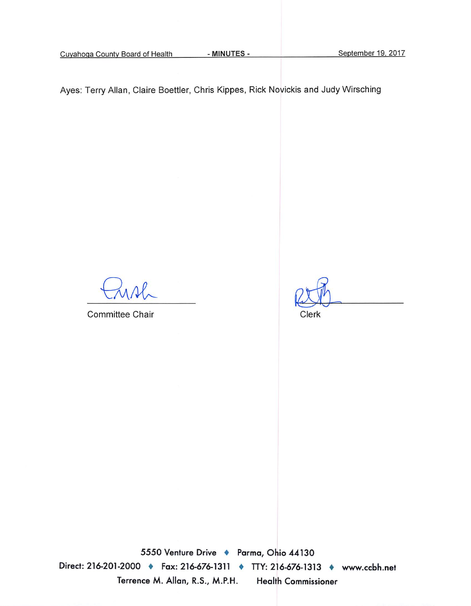Cuyahoga County Board of Health

- MINUTES -

September 19, 2017

Ayes: Terry Allan, Claire Boettler, Chris Kippes, Rick Novickis and Judy Wirsching

Committee Chair

Clerk

5550 Venture Drive + Parma, Ohio 44130 Direct: 216-201-2000 ♦ Fax: 216-676-1311 ♦ TTY: 216-676-1313 ♦ www.ccbh.net Terrence M. Allan, R.S., M.P.H. Health Commissioner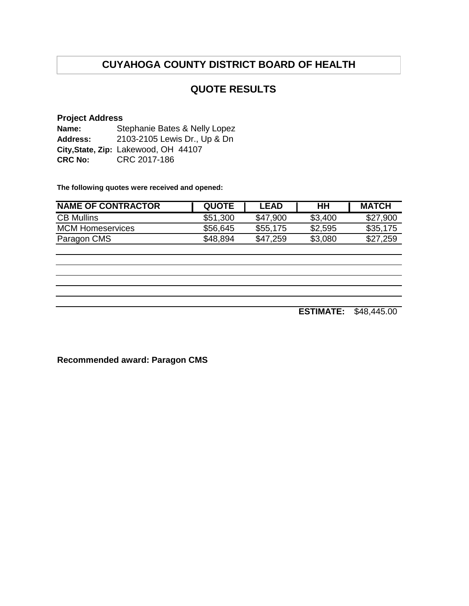### **QUOTE RESULTS**

#### **Project Address**

**Name: Address: City,State, Zip:** Lakewood, OH 44107 **CRC No:** CRC 2017-186 Stephanie Bates & Nelly Lopez 2103-2105 Lewis Dr., Up & Dn

**The following quotes were received and opened:**

| <b>NAME OF CONTRACTOR</b> | <b>QUOTE</b> | LEAD     | HН      | <b>MATCH</b> |
|---------------------------|--------------|----------|---------|--------------|
| <b>CB Mullins</b>         | \$51,300     | \$47,900 | \$3,400 | \$27,900     |
| <b>MCM Homeservices</b>   | \$56,645     | \$55,175 | \$2,595 | \$35,175     |
| Paragon CMS               | \$48,894     | \$47.259 | \$3,080 | \$27,259     |

**ESTIMATE:** \$48,445.00

**Recommended award: Paragon CMS**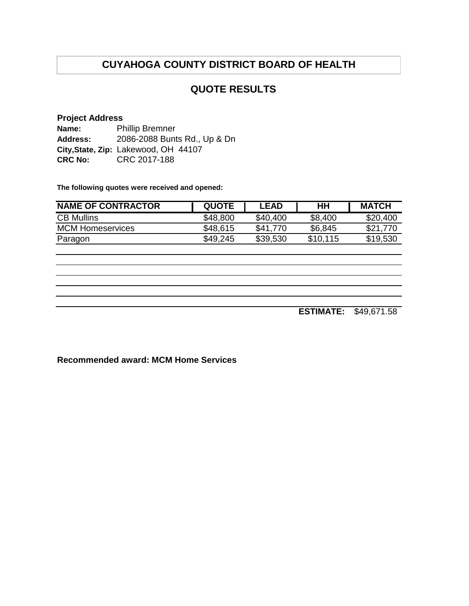### **QUOTE RESULTS**

#### **Project Address Name: Address: City,State, Zip:** Lakewood, OH 44107 **CRC No:** CRC 2017-188 Phillip Bremner 2086-2088 Bunts Rd., Up & Dn

**The following quotes were received and opened:**

| <b>NAME OF CONTRACTOR</b> | <b>QUOTE</b> | <b>LEAD</b> | HН       | <b>MATCH</b> |
|---------------------------|--------------|-------------|----------|--------------|
| <b>CB Mullins</b>         | \$48,800     | \$40,400    | \$8,400  | \$20,400     |
| <b>MCM Homeservices</b>   | \$48,615     | \$41,770    | \$6,845  | \$21,770     |
| Paragon                   | \$49,245     | \$39,530    | \$10,115 | \$19,530     |

**ESTIMATE:** \$49,671.58

**Recommended award: MCM Home Services**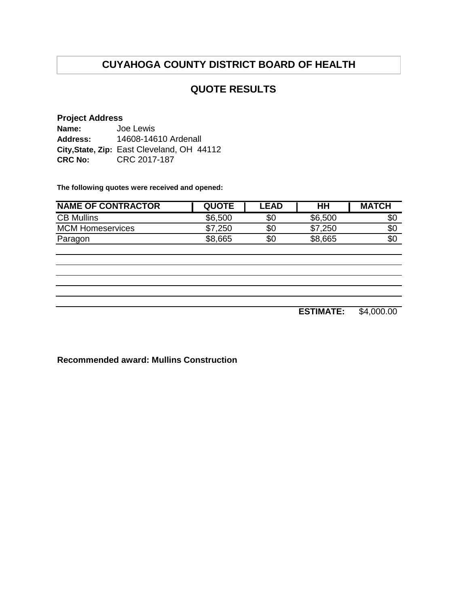### **QUOTE RESULTS**

#### **Project Address**

| Name:           | Joe Lewis                                  |  |  |
|-----------------|--------------------------------------------|--|--|
| <b>Address:</b> | 14608-14610 Ardenall                       |  |  |
|                 | City, State, Zip: East Cleveland, OH 44112 |  |  |
| <b>CRC No:</b>  | CRC 2017-187                               |  |  |

**The following quotes were received and opened:**

| <b>NAME OF CONTRACTOR</b> | <b>QUOTE</b> | <b>.EAD</b> | HH      | <b>MATCH</b> |
|---------------------------|--------------|-------------|---------|--------------|
| <b>CB Mullins</b>         | \$6,500      | \$0         | \$6,500 | \$0          |
| <b>MCM Homeservices</b>   | .250         | \$0         | \$7,250 | \$0          |
| Paragon                   | \$8,665      | \$0         | \$8,665 | \$0          |

**ESTIMATE:** \$4,000.00

**Recommended award: Mullins Construction**